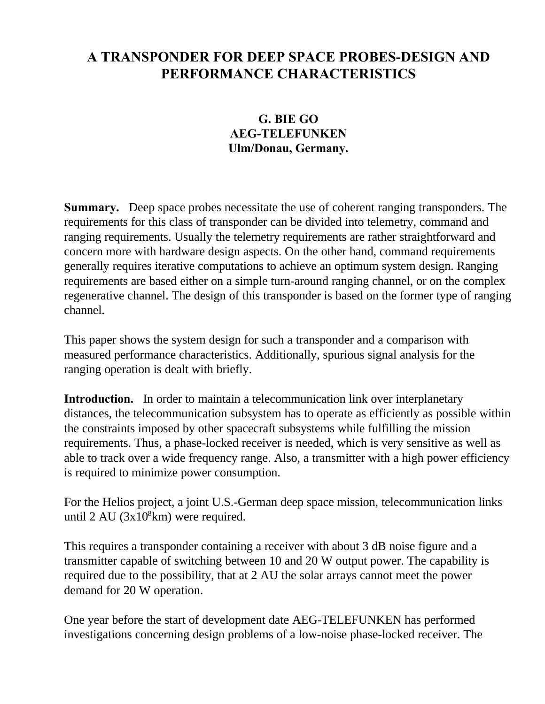## **A TRANSPONDER FOR DEEP SPACE PROBES-DESIGN AND PERFORMANCE CHARACTERISTICS**

## **G. BIE GO AEG-TELEFUNKEN Ulm/Donau, Germany.**

**Summary.** Deep space probes necessitate the use of coherent ranging transponders. The requirements for this class of transponder can be divided into telemetry, command and ranging requirements. Usually the telemetry requirements are rather straightforward and concern more with hardware design aspects. On the other hand, command requirements generally requires iterative computations to achieve an optimum system design. Ranging requirements are based either on a simple turn-around ranging channel, or on the complex regenerative channel. The design of this transponder is based on the former type of ranging channel.

This paper shows the system design for such a transponder and a comparison with measured performance characteristics. Additionally, spurious signal analysis for the ranging operation is dealt with briefly.

**Introduction.** In order to maintain a telecommunication link over interplanetary distances, the telecommunication subsystem has to operate as efficiently as possible within the constraints imposed by other spacecraft subsystems while fulfilling the mission requirements. Thus, a phase-locked receiver is needed, which is very sensitive as well as able to track over a wide frequency range. Also, a transmitter with a high power efficiency is required to minimize power consumption.

For the Helios project, a joint U.S.-German deep space mission, telecommunication links until  $2 \text{ AU } (3x10^8 \text{km})$  were required.

This requires a transponder containing a receiver with about 3 dB noise figure and a transmitter capable of switching between 10 and 20 W output power. The capability is required due to the possibility, that at 2 AU the solar arrays cannot meet the power demand for 20 W operation.

One year before the start of development date AEG-TELEFUNKEN has performed investigations concerning design problems of a low-noise phase-locked receiver. The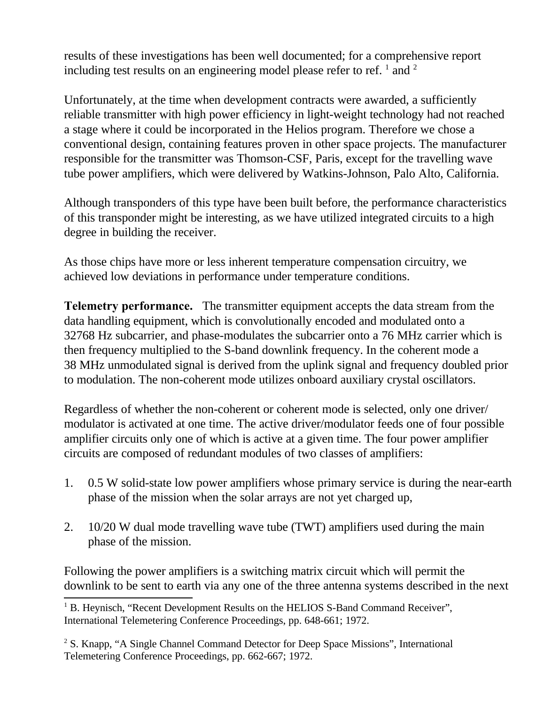results of these investigations has been well documented; for a comprehensive report including test results on an engineering model please refer to ref.  $^1$  and  $^2$ 

Unfortunately, at the time when development contracts were awarded, a sufficiently reliable transmitter with high power efficiency in light-weight technology had not reached a stage where it could be incorporated in the Helios program. Therefore we chose a conventional design, containing features proven in other space projects. The manufacturer responsible for the transmitter was Thomson-CSF, Paris, except for the travelling wave tube power amplifiers, which were delivered by Watkins-Johnson, Palo Alto, California.

Although transponders of this type have been built before, the performance characteristics of this transponder might be interesting, as we have utilized integrated circuits to a high degree in building the receiver.

As those chips have more or less inherent temperature compensation circuitry, we achieved low deviations in performance under temperature conditions.

**Telemetry performance.** The transmitter equipment accepts the data stream from the data handling equipment, which is convolutionally encoded and modulated onto a 32768 Hz subcarrier, and phase-modulates the subcarrier onto a 76 MHz carrier which is then frequency multiplied to the S-band downlink frequency. In the coherent mode a 38 MHz unmodulated signal is derived from the uplink signal and frequency doubled prior to modulation. The non-coherent mode utilizes onboard auxiliary crystal oscillators.

Regardless of whether the non-coherent or coherent mode is selected, only one driver/ modulator is activated at one time. The active driver/modulator feeds one of four possible amplifier circuits only one of which is active at a given time. The four power amplifier circuits are composed of redundant modules of two classes of amplifiers:

- 1. 0.5 W solid-state low power amplifiers whose primary service is during the near-earth phase of the mission when the solar arrays are not yet charged up,
- 2. 10/20 W dual mode travelling wave tube (TWT) amplifiers used during the main phase of the mission.

Following the power amplifiers is a switching matrix circuit which will permit the downlink to be sent to earth via any one of the three antenna systems described in the next

<sup>&</sup>lt;sup>1</sup> B. Heynisch, "Recent Development Results on the HELIOS S-Band Command Receiver", International Telemetering Conference Proceedings, pp. 648-661; 1972.

<sup>&</sup>lt;sup>2</sup> S. Knapp, "A Single Channel Command Detector for Deep Space Missions", International Telemetering Conference Proceedings, pp. 662-667; 1972.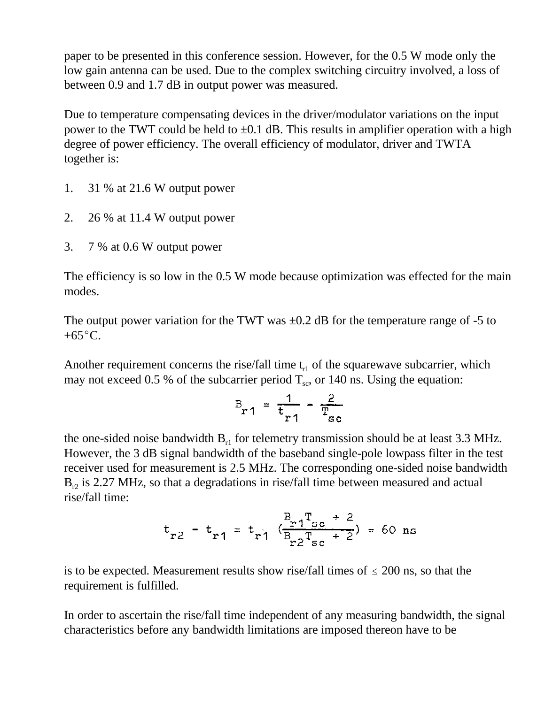paper to be presented in this conference session. However, for the 0.5 W mode only the low gain antenna can be used. Due to the complex switching circuitry involved, a loss of between 0.9 and 1.7 dB in output power was measured.

Due to temperature compensating devices in the driver/modulator variations on the input power to the TWT could be held to  $\pm 0.1$  dB. This results in amplifier operation with a high degree of power efficiency. The overall efficiency of modulator, driver and TWTA together is:

- 1. 31 % at 21.6 W output power
- 2. 26 % at 11.4 W output power
- 3. 7 % at 0.6 W output power

The efficiency is so low in the 0.5 W mode because optimization was effected for the main modes.

The output power variation for the TWT was  $\pm 0.2$  dB for the temperature range of -5 to  $+65^{\circ}C$ .

Another requirement concerns the rise/fall time  $t_{r1}$  of the squarewave subcarrier, which may not exceed 0.5 % of the subcarrier period  $T_{sc}$ , or 140 ns. Using the equation:<br>  $B_{\r{r}1} = \frac{1}{\r{t_{r}1}} - \frac{2}{T_{\r{sc}}}$ 

$$
B_{r1} = \frac{1}{t_{r1}} - \frac{2}{T_{sc}}
$$

the one-sided noise bandwidth  $B_{r1}$  for telemetry transmission should be at least 3.3 MHz. However, the 3 dB signal bandwidth of the baseband single-pole lowpass filter in the test receiver used for measurement is 2.5 MHz. The corresponding one-sided noise bandwidth  $B_{r2}$  is 2.27 MHz, so that a degradations in rise/fall time between measured and actual rise/fall time:

$$
t_{r2} - t_{r1} = t_{r1} \left( \frac{B_{r1}T_{sc} + 2}{B_{r2}T_{sc} + 2} \right) = 60
$$
 ns

is to be expected. Measurement results show rise/fall times of  $\leq 200$  ns, so that the requirement is fulfilled.

In order to ascertain the rise/fall time independent of any measuring bandwidth, the signal characteristics before any bandwidth limitations are imposed thereon have to be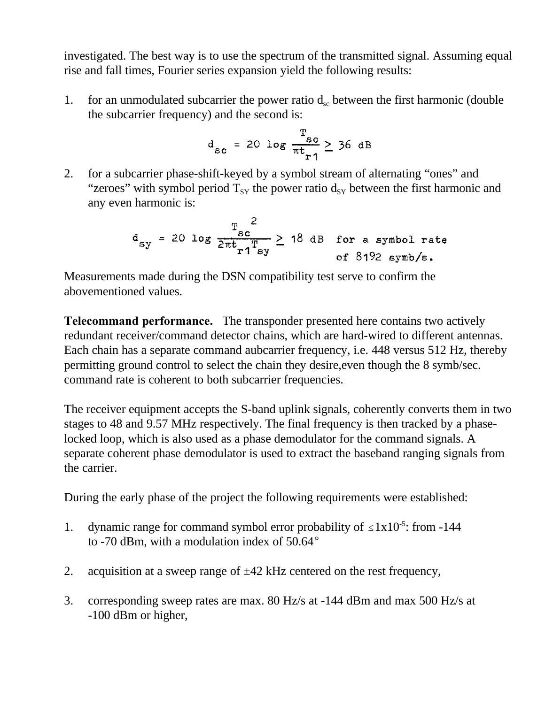investigated. The best way is to use the spectrum of the transmitted signal. Assuming equal rise and fall times, Fourier series expansion yield the following results:

1. for an unmodulated subcarrier the power ratio  $d_{\rm sc}$  between the first harmonic (double the subcarrier frequency) and the second is:

$$
d_{sc} = 20 \log \frac{T_{sc}}{\pi t_{r1}} \geq 36 \text{ dB}
$$

2. for a subcarrier phase-shift-keyed by a symbol stream of alternating "ones" and "zeroes" with symbol period  $T_{SY}$  the power ratio  $d_{SY}$  between the first harmonic and any even harmonic is:

$$
d_{sy} = 20 \log \frac{\pi_{sc}}{2\pi t_{r1} T_{sy}} \ge 18 \text{ dB} \text{ for a symbol rate of 8192 symbols.}
$$

Measurements made during the DSN compatibility test serve to confirm the abovementioned values.

**Telecommand performance.** The transponder presented here contains two actively redundant receiver/command detector chains, which are hard-wired to different antennas. Each chain has a separate command aubcarrier frequency, i.e. 448 versus 512 Hz, thereby permitting ground control to select the chain they desire,even though the 8 symb/sec. command rate is coherent to both subcarrier frequencies.

The receiver equipment accepts the S-band uplink signals, coherently converts them in two stages to 48 and 9.57 MHz respectively. The final frequency is then tracked by a phaselocked loop, which is also used as a phase demodulator for the command signals. A separate coherent phase demodulator is used to extract the baseband ranging signals from the carrier.

During the early phase of the project the following requirements were established:

- 1. dynamic range for command symbol error probability of  $\leq 1x10^{-5}$ : from -144 to -70 dBm, with a modulation index of  $50.64^{\circ}$
- 2. acquisition at a sweep range of  $\pm 42$  kHz centered on the rest frequency,
- 3. corresponding sweep rates are max. 80 Hz/s at -144 dBm and max 500 Hz/s at -100 dBm or higher,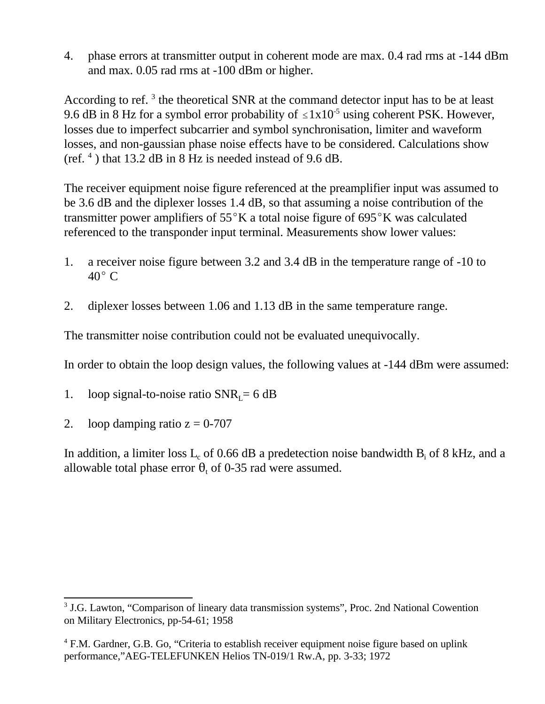4. phase errors at transmitter output in coherent mode are max. 0.4 rad rms at -144 dBm and max. 0.05 rad rms at -100 dBm or higher.

According to ref.<sup>3</sup> the theoretical SNR at the command detector input has to be at least 9.6 dB in 8 Hz for a symbol error probability of  $\leq 1x10^{-5}$  using coherent PSK. However, losses due to imperfect subcarrier and symbol synchronisation, limiter and waveform losses, and non-gaussian phase noise effects have to be considered. Calculations show (ref. <sup>4</sup> ) that 13.2 dB in 8 Hz is needed instead of 9.6 dB.

The receiver equipment noise figure referenced at the preamplifier input was assumed to be 3.6 dB and the diplexer losses 1.4 dB, so that assuming a noise contribution of the transmitter power amplifiers of  $55^{\circ}$ K a total noise figure of  $695^{\circ}$ K was calculated referenced to the transponder input terminal. Measurements show lower values:

- 1. a receiver noise figure between 3.2 and 3.4 dB in the temperature range of -10 to  $40^{\circ}$  C
- 2. diplexer losses between 1.06 and 1.13 dB in the same temperature range.

The transmitter noise contribution could not be evaluated unequivocally.

In order to obtain the loop design values, the following values at -144 dBm were assumed:

- 1. loop signal-to-noise ratio  $SNR_1 = 6$  dB
- 2. loop damping ratio  $z = 0-707$

In addition, a limiter loss  $L_c$  of 0.66 dB a predetection noise bandwidth  $B_i$  of 8 kHz, and a allowable total phase error  $\theta_t$  of 0-35 rad were assumed.

<sup>&</sup>lt;sup>3</sup> J.G. Lawton, "Comparison of lineary data transmission systems", Proc. 2nd National Cowention on Military Electronics, pp-54-61; 1958

<sup>&</sup>lt;sup>4</sup> F.M. Gardner, G.B. Go, "Criteria to establish receiver equipment noise figure based on uplink performance,"AEG-TELEFUNKEN Helios TN-019/1 Rw.A, pp. 3-33; 1972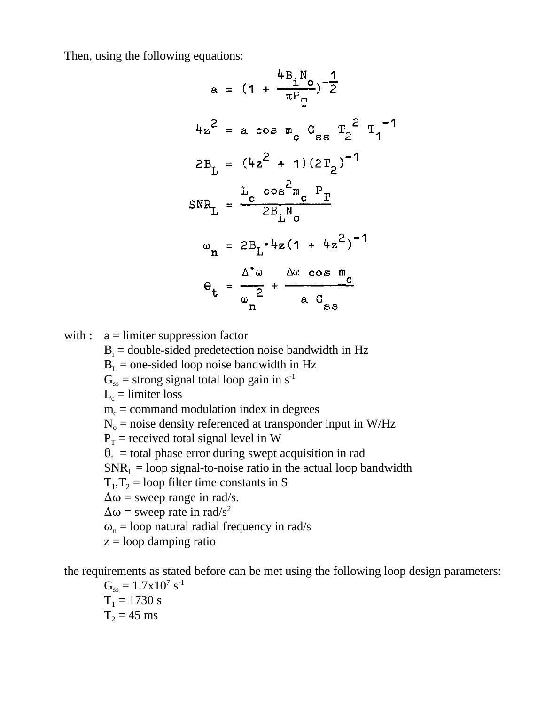Then, using the following equations:

$$
a = (1 + \frac{4B_1N_0}{\pi P_T})^{-\frac{1}{2}}
$$
  
\n
$$
4z^2 = a \cos m_c G_{ss} T_2^2 T_1^{-1}
$$
  
\n
$$
2B_L = (4z^2 + 1)(2T_2)^{-1}
$$
  
\n
$$
SNR_L = \frac{L_c \cos^2 m_c P_T}{2B_LN_0}
$$
  
\n
$$
\omega_n = 2B_L \cdot 4z (1 + 4z^2)^{-1}
$$
  
\n
$$
\theta_t = \frac{\Delta^2 \omega}{\omega_n^2} + \frac{\Delta \omega \cos m_c}{a G_{ss}}
$$

with :  $a =$  limiter suppression factor

 $B<sub>i</sub>$  = double-sided predetection noise bandwidth in Hz

 $B<sub>L</sub>$  = one-sided loop noise bandwidth in Hz

 $G_{ss}$  = strong signal total loop gain in s<sup>-1</sup>

 $L_c =$  limiter loss

 $m_c$  = command modulation index in degrees

 $N_0$  = noise density referenced at transponder input in W/Hz

 $P_T$  = received total signal level in W

 $\theta_t$  = total phase error during swept acquisition in rad

 $SNR<sub>L</sub>$  = loop signal-to-noise ratio in the actual loop bandwidth

 $T_1, T_2$  = loop filter time constants in S

 $\Delta \omega$  = sweep range in rad/s.

 $\Delta \omega$  = sweep rate in rad/s<sup>2</sup>

 $\omega_{n}$  = loop natural radial frequency in rad/s

 $z =$ loop damping ratio

the requirements as stated before can be met using the following loop design parameters:

 $G_{ss} = 1.7 \times 10^7 \text{ s}^{-1}$  $T_1 = 1730$  s  $T_2 = 45$  ms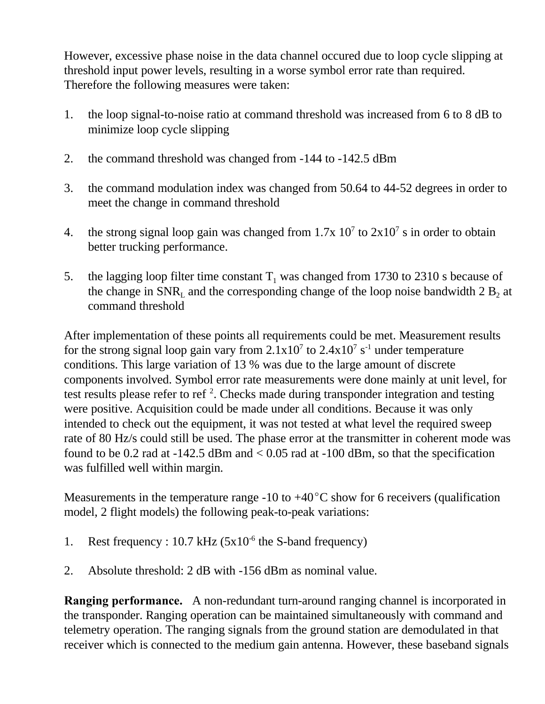However, excessive phase noise in the data channel occured due to loop cycle slipping at threshold input power levels, resulting in a worse symbol error rate than required. Therefore the following measures were taken:

- 1. the loop signal-to-noise ratio at command threshold was increased from 6 to 8 dB to minimize loop cycle slipping
- 2. the command threshold was changed from -144 to -142.5 dBm
- 3. the command modulation index was changed from 50.64 to 44-52 degrees in order to meet the change in command threshold
- 4. the strong signal loop gain was changed from  $1.7x$   $10<sup>7</sup>$  to  $2x10<sup>7</sup>$  s in order to obtain better trucking performance.
- 5. the lagging loop filter time constant  $T_1$  was changed from 1730 to 2310 s because of the change in  $SNR<sub>L</sub>$  and the corresponding change of the loop noise bandwidth 2  $B<sub>2</sub>$  at command threshold

After implementation of these points all requirements could be met. Measurement results for the strong signal loop gain vary from  $2.1 \times 10^7$  to  $2.4 \times 10^7$  s<sup>-1</sup> under temperature conditions. This large variation of 13 % was due to the large amount of discrete components involved. Symbol error rate measurements were done mainly at unit level, for test results please refer to ref<sup>2</sup>. Checks made during transponder integration and testing were positive. Acquisition could be made under all conditions. Because it was only intended to check out the equipment, it was not tested at what level the required sweep rate of 80 Hz/s could still be used. The phase error at the transmitter in coherent mode was found to be 0.2 rad at  $-142.5$  dBm and  $< 0.05$  rad at  $-100$  dBm, so that the specification was fulfilled well within margin.

Measurements in the temperature range -10 to  $+40^{\circ}$ C show for 6 receivers (qualification model, 2 flight models) the following peak-to-peak variations:

- 1. Rest frequency :  $10.7 \text{ kHz}$  ( $5x10^{-6}$  the S-band frequency)
- 2. Absolute threshold: 2 dB with -156 dBm as nominal value.

**Ranging performance.** A non-redundant turn-around ranging channel is incorporated in the transponder. Ranging operation can be maintained simultaneously with command and telemetry operation. The ranging signals from the ground station are demodulated in that receiver which is connected to the medium gain antenna. However, these baseband signals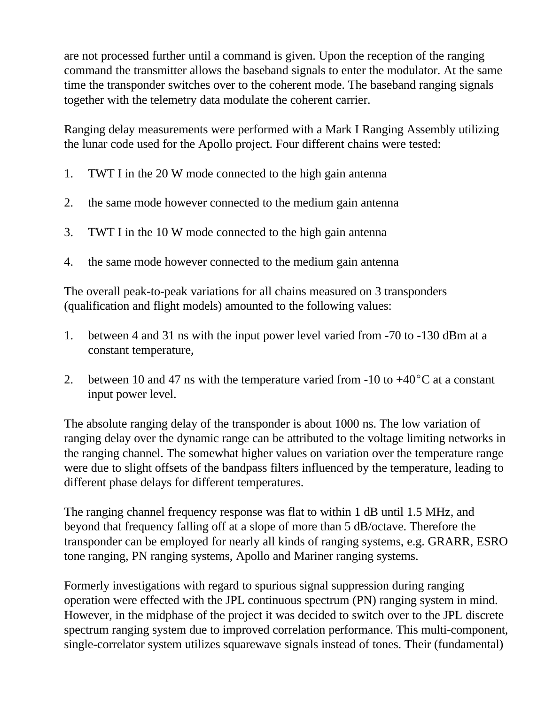are not processed further until a command is given. Upon the reception of the ranging command the transmitter allows the baseband signals to enter the modulator. At the same time the transponder switches over to the coherent mode. The baseband ranging signals together with the telemetry data modulate the coherent carrier.

Ranging delay measurements were performed with a Mark I Ranging Assembly utilizing the lunar code used for the Apollo project. Four different chains were tested:

- 1. TWT I in the 20 W mode connected to the high gain antenna
- 2. the same mode however connected to the medium gain antenna
- 3. TWT I in the 10 W mode connected to the high gain antenna
- 4. the same mode however connected to the medium gain antenna

The overall peak-to-peak variations for all chains measured on 3 transponders (qualification and flight models) amounted to the following values:

- 1. between 4 and 31 ns with the input power level varied from -70 to -130 dBm at a constant temperature,
- 2. between 10 and 47 ns with the temperature varied from -10 to  $+40^{\circ}$ C at a constant input power level.

The absolute ranging delay of the transponder is about 1000 ns. The low variation of ranging delay over the dynamic range can be attributed to the voltage limiting networks in the ranging channel. The somewhat higher values on variation over the temperature range were due to slight offsets of the bandpass filters influenced by the temperature, leading to different phase delays for different temperatures.

The ranging channel frequency response was flat to within 1 dB until 1.5 MHz, and beyond that frequency falling off at a slope of more than 5 dB/octave. Therefore the transponder can be employed for nearly all kinds of ranging systems, e.g. GRARR, ESRO tone ranging, PN ranging systems, Apollo and Mariner ranging systems.

Formerly investigations with regard to spurious signal suppression during ranging operation were effected with the JPL continuous spectrum (PN) ranging system in mind. However, in the midphase of the project it was decided to switch over to the JPL discrete spectrum ranging system due to improved correlation performance. This multi-component, single-correlator system utilizes squarewave signals instead of tones. Their (fundamental)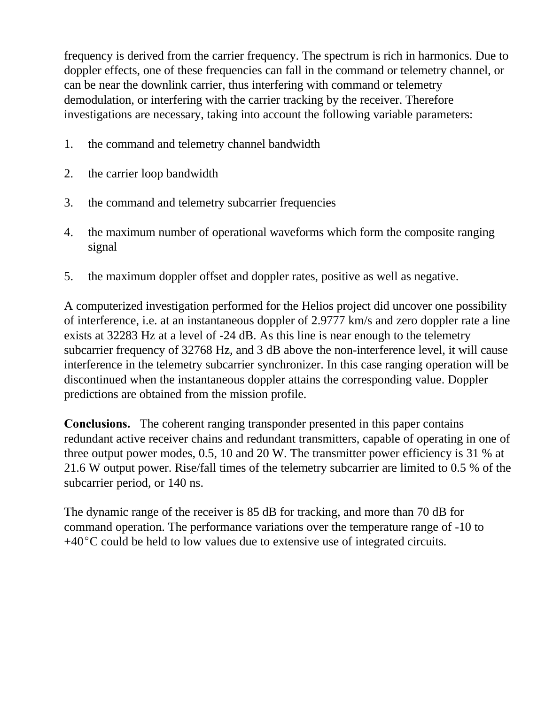frequency is derived from the carrier frequency. The spectrum is rich in harmonics. Due to doppler effects, one of these frequencies can fall in the command or telemetry channel, or can be near the downlink carrier, thus interfering with command or telemetry demodulation, or interfering with the carrier tracking by the receiver. Therefore investigations are necessary, taking into account the following variable parameters:

- 1. the command and telemetry channel bandwidth
- 2. the carrier loop bandwidth
- 3. the command and telemetry subcarrier frequencies
- 4. the maximum number of operational waveforms which form the composite ranging signal
- 5. the maximum doppler offset and doppler rates, positive as well as negative.

A computerized investigation performed for the Helios project did uncover one possibility of interference, i.e. at an instantaneous doppler of 2.9777 km/s and zero doppler rate a line exists at 32283 Hz at a level of -24 dB. As this line is near enough to the telemetry subcarrier frequency of 32768 Hz, and 3 dB above the non-interference level, it will cause interference in the telemetry subcarrier synchronizer. In this case ranging operation will be discontinued when the instantaneous doppler attains the corresponding value. Doppler predictions are obtained from the mission profile.

**Conclusions.** The coherent ranging transponder presented in this paper contains redundant active receiver chains and redundant transmitters, capable of operating in one of three output power modes, 0.5, 10 and 20 W. The transmitter power efficiency is 31 % at 21.6 W output power. Rise/fall times of the telemetry subcarrier are limited to 0.5 % of the subcarrier period, or 140 ns.

The dynamic range of the receiver is 85 dB for tracking, and more than 70 dB for command operation. The performance variations over the temperature range of -10 to  $+40^{\circ}$ C could be held to low values due to extensive use of integrated circuits.